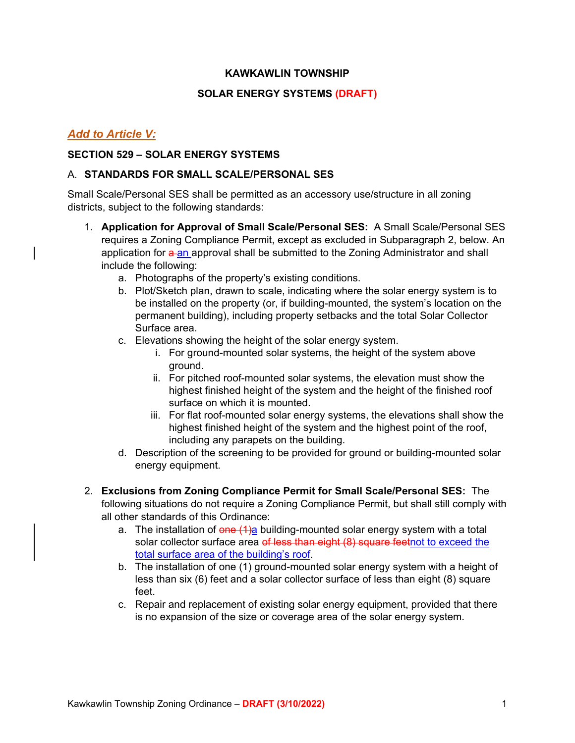### **KAWKAWLIN TOWNSHIP**

### **SOLAR ENERGY SYSTEMS (DRAFT)**

## *Add to Article V:*

## **SECTION 529 – SOLAR ENERGY SYSTEMS**

#### A. **STANDARDS FOR SMALL SCALE/PERSONAL SES**

Small Scale/Personal SES shall be permitted as an accessory use/structure in all zoning districts, subject to the following standards:

- 1. **Application for Approval of Small Scale/Personal SES:** A Small Scale/Personal SES requires a Zoning Compliance Permit, except as excluded in Subparagraph 2, below. An application for a an approval shall be submitted to the Zoning Administrator and shall include the following:
	- a. Photographs of the property's existing conditions.
	- b. Plot/Sketch plan, drawn to scale, indicating where the solar energy system is to be installed on the property (or, if building-mounted, the system's location on the permanent building), including property setbacks and the total Solar Collector Surface area.
	- c. Elevations showing the height of the solar energy system.
		- i. For ground-mounted solar systems, the height of the system above ground.
		- ii. For pitched roof-mounted solar systems, the elevation must show the highest finished height of the system and the height of the finished roof surface on which it is mounted.
		- iii. For flat roof-mounted solar energy systems, the elevations shall show the highest finished height of the system and the highest point of the roof, including any parapets on the building.
	- d. Description of the screening to be provided for ground or building-mounted solar energy equipment.
- 2. **Exclusions from Zoning Compliance Permit for Small Scale/Personal SES:** The following situations do not require a Zoning Compliance Permit, but shall still comply with all other standards of this Ordinance:
	- a. The installation of  $\theta$ ne  $(1)$ a building-mounted solar energy system with a total solar collector surface area of less than eight (8) square feetnot to exceed the total surface area of the building's roof.
	- b. The installation of one (1) ground-mounted solar energy system with a height of less than six (6) feet and a solar collector surface of less than eight (8) square feet.
	- c. Repair and replacement of existing solar energy equipment, provided that there is no expansion of the size or coverage area of the solar energy system.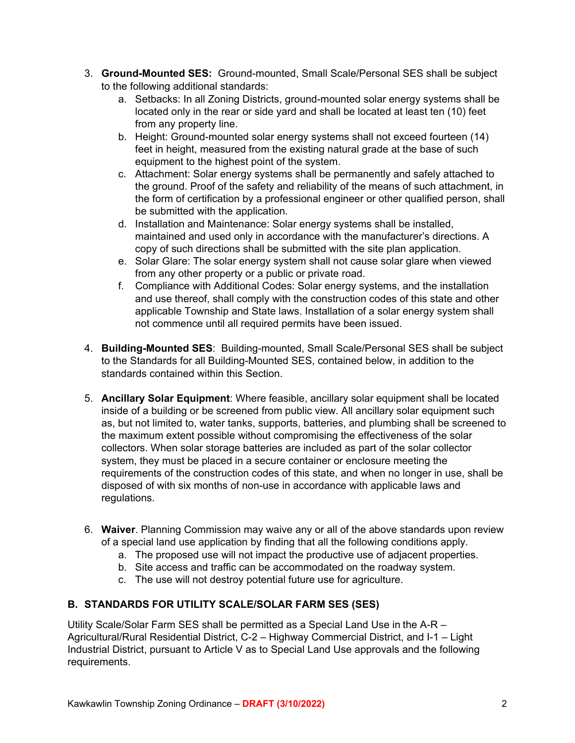- 3. **Ground-Mounted SES:** Ground-mounted, Small Scale/Personal SES shall be subject to the following additional standards:
	- a. Setbacks: In all Zoning Districts, ground-mounted solar energy systems shall be located only in the rear or side yard and shall be located at least ten (10) feet from any property line.
	- b. Height: Ground-mounted solar energy systems shall not exceed fourteen (14) feet in height, measured from the existing natural grade at the base of such equipment to the highest point of the system.
	- c. Attachment: Solar energy systems shall be permanently and safely attached to the ground. Proof of the safety and reliability of the means of such attachment, in the form of certification by a professional engineer or other qualified person, shall be submitted with the application.
	- d. Installation and Maintenance: Solar energy systems shall be installed, maintained and used only in accordance with the manufacturer's directions. A copy of such directions shall be submitted with the site plan application.
	- e. Solar Glare: The solar energy system shall not cause solar glare when viewed from any other property or a public or private road.
	- f. Compliance with Additional Codes: Solar energy systems, and the installation and use thereof, shall comply with the construction codes of this state and other applicable Township and State laws. Installation of a solar energy system shall not commence until all required permits have been issued.
- 4. **Building-Mounted SES**: Building-mounted, Small Scale/Personal SES shall be subject to the Standards for all Building-Mounted SES, contained below, in addition to the standards contained within this Section.
- 5. **Ancillary Solar Equipment**: Where feasible, ancillary solar equipment shall be located inside of a building or be screened from public view. All ancillary solar equipment such as, but not limited to, water tanks, supports, batteries, and plumbing shall be screened to the maximum extent possible without compromising the effectiveness of the solar collectors. When solar storage batteries are included as part of the solar collector system, they must be placed in a secure container or enclosure meeting the requirements of the construction codes of this state, and when no longer in use, shall be disposed of with six months of non-use in accordance with applicable laws and regulations.
- 6. **Waiver**. Planning Commission may waive any or all of the above standards upon review of a special land use application by finding that all the following conditions apply.
	- a. The proposed use will not impact the productive use of adjacent properties.
	- b. Site access and traffic can be accommodated on the roadway system.
	- c. The use will not destroy potential future use for agriculture.

## **B. STANDARDS FOR UTILITY SCALE/SOLAR FARM SES (SES)**

Utility Scale/Solar Farm SES shall be permitted as a Special Land Use in the A-R – Agricultural/Rural Residential District, C-2 – Highway Commercial District, and I-1 – Light Industrial District, pursuant to Article V as to Special Land Use approvals and the following requirements.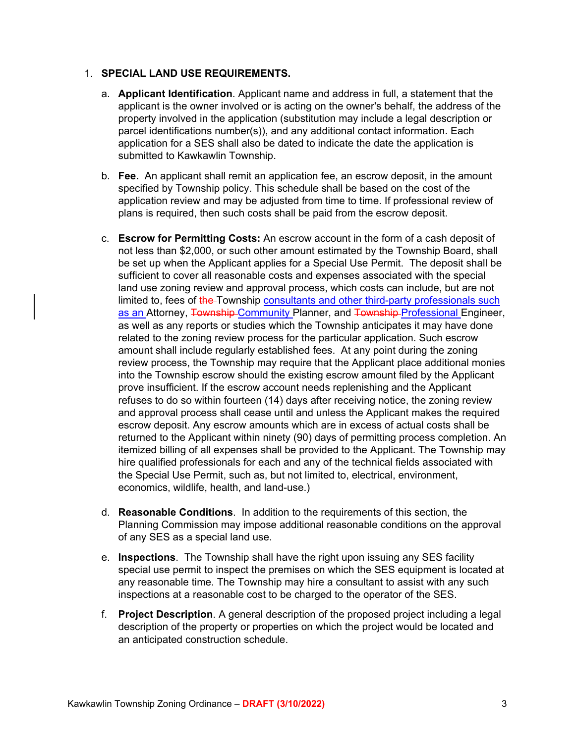## 1. **SPECIAL LAND USE REQUIREMENTS.**

- a. **Applicant Identification**. Applicant name and address in full, a statement that the applicant is the owner involved or is acting on the owner's behalf, the address of the property involved in the application (substitution may include a legal description or parcel identifications number(s)), and any additional contact information. Each application for a SES shall also be dated to indicate the date the application is submitted to Kawkawlin Township.
- b. **Fee.** An applicant shall remit an application fee, an escrow deposit, in the amount specified by Township policy. This schedule shall be based on the cost of the application review and may be adjusted from time to time. If professional review of plans is required, then such costs shall be paid from the escrow deposit.
- c. **Escrow for Permitting Costs:** An escrow account in the form of a cash deposit of not less than \$2,000, or such other amount estimated by the Township Board, shall be set up when the Applicant applies for a Special Use Permit. The deposit shall be sufficient to cover all reasonable costs and expenses associated with the special land use zoning review and approval process, which costs can include, but are not limited to, fees of the Township consultants and other third-party professionals such as an Attorney, Township-Community Planner, and Township-Professional Engineer, as well as any reports or studies which the Township anticipates it may have done related to the zoning review process for the particular application. Such escrow amount shall include regularly established fees. At any point during the zoning review process, the Township may require that the Applicant place additional monies into the Township escrow should the existing escrow amount filed by the Applicant prove insufficient. If the escrow account needs replenishing and the Applicant refuses to do so within fourteen (14) days after receiving notice, the zoning review and approval process shall cease until and unless the Applicant makes the required escrow deposit. Any escrow amounts which are in excess of actual costs shall be returned to the Applicant within ninety (90) days of permitting process completion. An itemized billing of all expenses shall be provided to the Applicant. The Township may hire qualified professionals for each and any of the technical fields associated with the Special Use Permit, such as, but not limited to, electrical, environment, economics, wildlife, health, and land-use.)
- d. **Reasonable Conditions**. In addition to the requirements of this section, the Planning Commission may impose additional reasonable conditions on the approval of any SES as a special land use.
- e. **Inspections**. The Township shall have the right upon issuing any SES facility special use permit to inspect the premises on which the SES equipment is located at any reasonable time. The Township may hire a consultant to assist with any such inspections at a reasonable cost to be charged to the operator of the SES.
- f. **Project Description**. A general description of the proposed project including a legal description of the property or properties on which the project would be located and an anticipated construction schedule.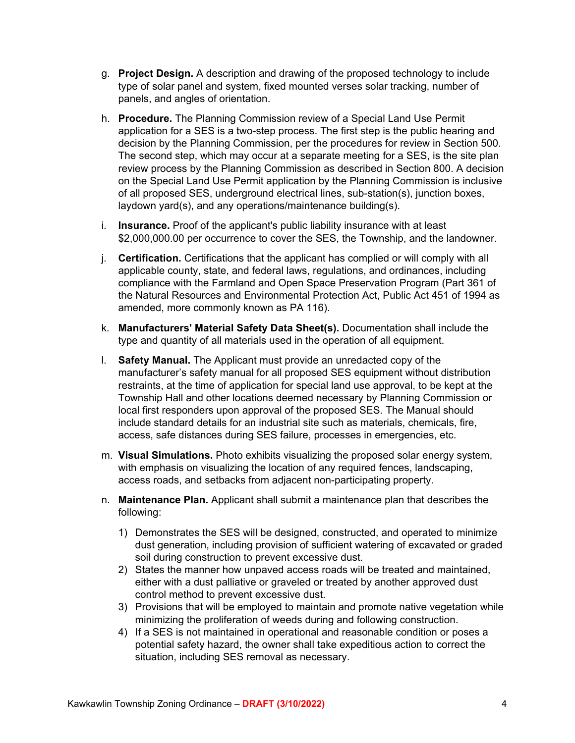- g. **Project Design.** A description and drawing of the proposed technology to include type of solar panel and system, fixed mounted verses solar tracking, number of panels, and angles of orientation.
- h. **Procedure.** The Planning Commission review of a Special Land Use Permit application for a SES is a two-step process. The first step is the public hearing and decision by the Planning Commission, per the procedures for review in Section 500. The second step, which may occur at a separate meeting for a SES, is the site plan review process by the Planning Commission as described in Section 800. A decision on the Special Land Use Permit application by the Planning Commission is inclusive of all proposed SES, underground electrical lines, sub-station(s), junction boxes, laydown yard(s), and any operations/maintenance building(s).
- i. **Insurance.** Proof of the applicant's public liability insurance with at least \$2,000,000.00 per occurrence to cover the SES, the Township, and the landowner.
- j. **Certification.** Certifications that the applicant has complied or will comply with all applicable county, state, and federal laws, regulations, and ordinances, including compliance with the Farmland and Open Space Preservation Program (Part 361 of the Natural Resources and Environmental Protection Act, Public Act 451 of 1994 as amended, more commonly known as PA 116).
- k. **Manufacturers' Material Safety Data Sheet(s).** Documentation shall include the type and quantity of all materials used in the operation of all equipment.
- l. **Safety Manual.** The Applicant must provide an unredacted copy of the manufacturer's safety manual for all proposed SES equipment without distribution restraints, at the time of application for special land use approval, to be kept at the Township Hall and other locations deemed necessary by Planning Commission or local first responders upon approval of the proposed SES. The Manual should include standard details for an industrial site such as materials, chemicals, fire, access, safe distances during SES failure, processes in emergencies, etc.
- m. **Visual Simulations.** Photo exhibits visualizing the proposed solar energy system, with emphasis on visualizing the location of any required fences, landscaping, access roads, and setbacks from adjacent non-participating property.
- n. **Maintenance Plan.** Applicant shall submit a maintenance plan that describes the following:
	- 1) Demonstrates the SES will be designed, constructed, and operated to minimize dust generation, including provision of sufficient watering of excavated or graded soil during construction to prevent excessive dust.
	- 2) States the manner how unpaved access roads will be treated and maintained, either with a dust palliative or graveled or treated by another approved dust control method to prevent excessive dust.
	- 3) Provisions that will be employed to maintain and promote native vegetation while minimizing the proliferation of weeds during and following construction.
	- 4) If a SES is not maintained in operational and reasonable condition or poses a potential safety hazard, the owner shall take expeditious action to correct the situation, including SES removal as necessary.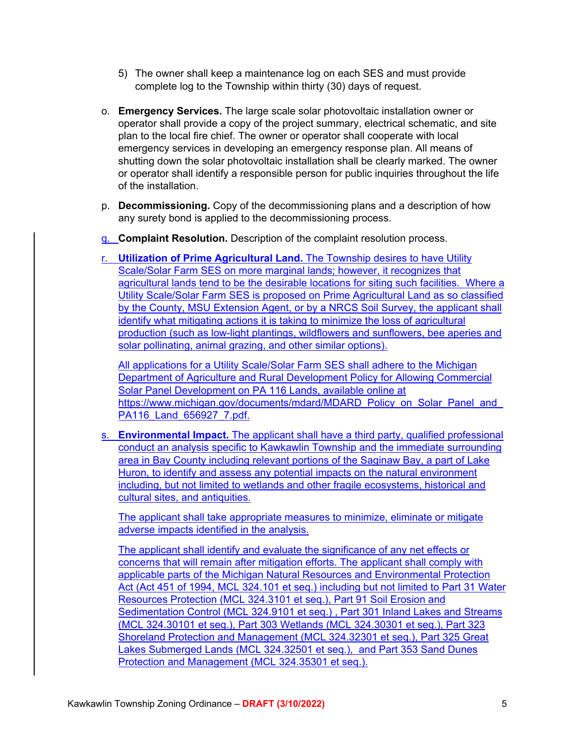- 5) The owner shall keep a maintenance log on each SES and must provide complete log to the Township within thirty (30) days of request.
- o. **Emergency Services.** The large scale solar photovoltaic installation owner or operator shall provide a copy of the project summary, electrical schematic, and site plan to the local fire chief. The owner or operator shall cooperate with local emergency services in developing an emergency response plan. All means of shutting down the solar photovoltaic installation shall be clearly marked. The owner or operator shall identify a responsible person for public inquiries throughout the life of the installation.
- p. **Decommissioning.** Copy of the decommissioning plans and a description of how any surety bond is applied to the decommissioning process.
- q. **Complaint Resolution.** Description of the complaint resolution process.

r. **Utilization of Prime Agricultural Land.** The Township desires to have Utility Scale/Solar Farm SES on more marginal lands; however, it recognizes that agricultural lands tend to be the desirable locations for siting such facilities. Where a Utility Scale/Solar Farm SES is proposed on Prime Agricultural Land as so classified by the County, MSU Extension Agent, or by a NRCS Soil Survey, the applicant shall identify what mitigating actions it is taking to minimize the loss of agricultural production (such as low-light plantings, wildflowers and sunflowers, bee aperies and solar pollinating, animal grazing, and other similar options).

All applications for a Utility Scale/Solar Farm SES shall adhere to the Michigan Department of Agriculture and Rural Development Policy for Allowing Commercial Solar Panel Development on PA 116 Lands, available online at https://www.michigan.gov/documents/mdard/MDARD\_Policy\_on\_Solar\_Panel\_and PA116 Land 656927 7.pdf.

s. **Environmental Impact.** The applicant shall have a third party, qualified professional conduct an analysis specific to Kawkawlin Township and the immediate surrounding area in Bay County including relevant portions of the Saginaw Bay, a part of Lake Huron, to identify and assess any potential impacts on the natural environment including, but not limited to wetlands and other fragile ecosystems, historical and cultural sites, and antiquities.

The applicant shall take appropriate measures to minimize, eliminate or mitigate adverse impacts identified in the analysis.

The applicant shall identify and evaluate the significance of any net effects or concerns that will remain after mitigation efforts. The applicant shall comply with applicable parts of the Michigan Natural Resources and Environmental Protection Act (Act 451 of 1994, MCL 324.101 et seq.) including but not limited to Part 31 Water Resources Protection (MCL 324.3101 et seq.), Part 91 Soil Erosion and Sedimentation Control (MCL 324.9101 et seq.) , Part 301 Inland Lakes and Streams (MCL 324.30101 et seq.), Part 303 Wetlands (MCL 324.30301 et seq.), Part 323 Shoreland Protection and Management (MCL 324.32301 et seq.), Part 325 Great Lakes Submerged Lands (MCL 324.32501 et seq.), and Part 353 Sand Dunes Protection and Management (MCL 324.35301 et seq.).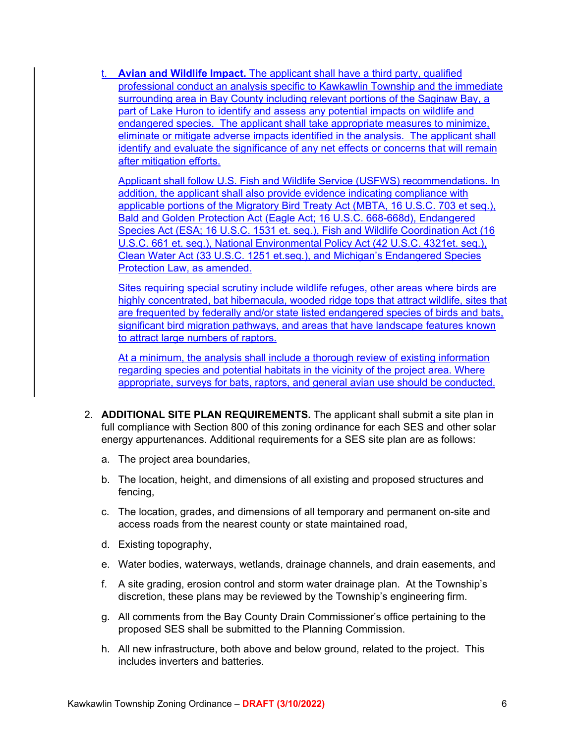t. **Avian and Wildlife Impact.** The applicant shall have a third party, qualified professional conduct an analysis specific to Kawkawlin Township and the immediate surrounding area in Bay County including relevant portions of the Saginaw Bay, a part of Lake Huron to identify and assess any potential impacts on wildlife and endangered species. The applicant shall take appropriate measures to minimize, eliminate or mitigate adverse impacts identified in the analysis. The applicant shall identify and evaluate the significance of any net effects or concerns that will remain after mitigation efforts.

Applicant shall follow U.S. Fish and Wildlife Service (USFWS) recommendations. In addition, the applicant shall also provide evidence indicating compliance with applicable portions of the Migratory Bird Treaty Act (MBTA, 16 U.S.C. 703 et seq.), Bald and Golden Protection Act (Eagle Act; 16 U.S.C. 668-668d), Endangered Species Act (ESA; 16 U.S.C. 1531 et. seq.), Fish and Wildlife Coordination Act (16 U.S.C. 661 et. seq.), National Environmental Policy Act (42 U.S.C. 4321et. seq.), Clean Water Act (33 U.S.C. 1251 et.seq.), and Michigan's Endangered Species Protection Law, as amended.

Sites requiring special scrutiny include wildlife refuges, other areas where birds are highly concentrated, bat hibernacula, wooded ridge tops that attract wildlife, sites that are frequented by federally and/or state listed endangered species of birds and bats, significant bird migration pathways, and areas that have landscape features known to attract large numbers of raptors.

At a minimum, the analysis shall include a thorough review of existing information regarding species and potential habitats in the vicinity of the project area. Where appropriate, surveys for bats, raptors, and general avian use should be conducted.

- 2. **ADDITIONAL SITE PLAN REQUIREMENTS.** The applicant shall submit a site plan in full compliance with Section 800 of this zoning ordinance for each SES and other solar energy appurtenances. Additional requirements for a SES site plan are as follows:
	- a. The project area boundaries,
	- b. The location, height, and dimensions of all existing and proposed structures and fencing,
	- c. The location, grades, and dimensions of all temporary and permanent on-site and access roads from the nearest county or state maintained road,
	- d. Existing topography,
	- e. Water bodies, waterways, wetlands, drainage channels, and drain easements, and
	- f. A site grading, erosion control and storm water drainage plan. At the Township's discretion, these plans may be reviewed by the Township's engineering firm.
	- g. All comments from the Bay County Drain Commissioner's office pertaining to the proposed SES shall be submitted to the Planning Commission.
	- h. All new infrastructure, both above and below ground, related to the project. This includes inverters and batteries.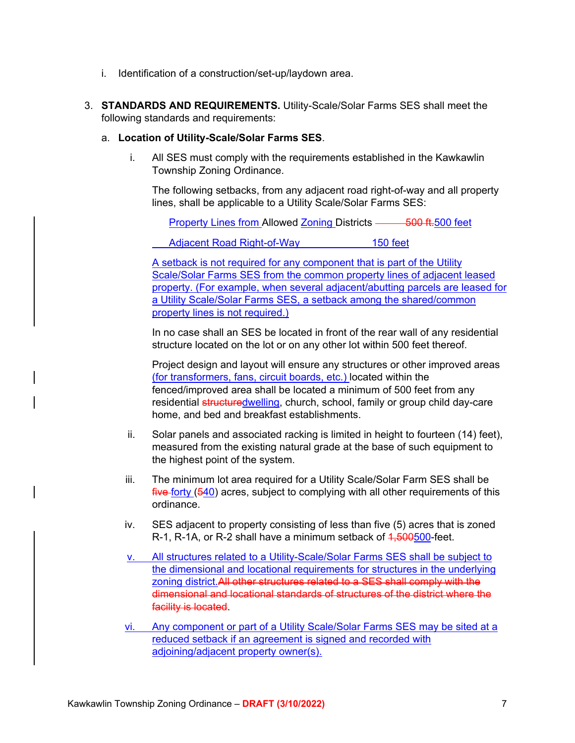- i. Identification of a construction/set-up/laydown area.
- 3. **STANDARDS AND REQUIREMENTS.** Utility-Scale/Solar Farms SES shall meet the following standards and requirements:

#### a. **Location of Utility-Scale/Solar Farms SES**.

i. All SES must comply with the requirements established in the Kawkawlin Township Zoning Ordinance.

The following setbacks, from any adjacent road right-of-way and all property lines, shall be applicable to a Utility Scale/Solar Farms SES:

Property Lines from Allowed Zoning Districts — 500 ft.500 feet

Adjacent Road Right-of-Way 150 feet

A setback is not required for any component that is part of the Utility Scale/Solar Farms SES from the common property lines of adjacent leased property. (For example, when several adjacent/abutting parcels are leased for a Utility Scale/Solar Farms SES, a setback among the shared/common property lines is not required.)

In no case shall an SES be located in front of the rear wall of any residential structure located on the lot or on any other lot within 500 feet thereof.

Project design and layout will ensure any structures or other improved areas (for transformers, fans, circuit boards, etc.) located within the fenced/improved area shall be located a minimum of 500 feet from any residential structuredwelling, church, school, family or group child day-care home, and bed and breakfast establishments.

- ii. Solar panels and associated racking is limited in height to fourteen (14) feet), measured from the existing natural grade at the base of such equipment to the highest point of the system.
- iii. The minimum lot area required for a Utility Scale/Solar Farm SES shall be five forty (540) acres, subject to complying with all other requirements of this ordinance.
- iv. SES adjacent to property consisting of less than five (5) acres that is zoned R-1, R-1A, or R-2 shall have a minimum setback of 4,500500-feet.
- v. All structures related to a Utility-Scale/Solar Farms SES shall be subject to the dimensional and locational requirements for structures in the underlying zoning district.All other structures related to a SES shall comply with the dimensional and locational standards of structures of the district where the facility is located.
- vi. Any component or part of a Utility Scale/Solar Farms SES may be sited at a reduced setback if an agreement is signed and recorded with adjoining/adjacent property owner(s).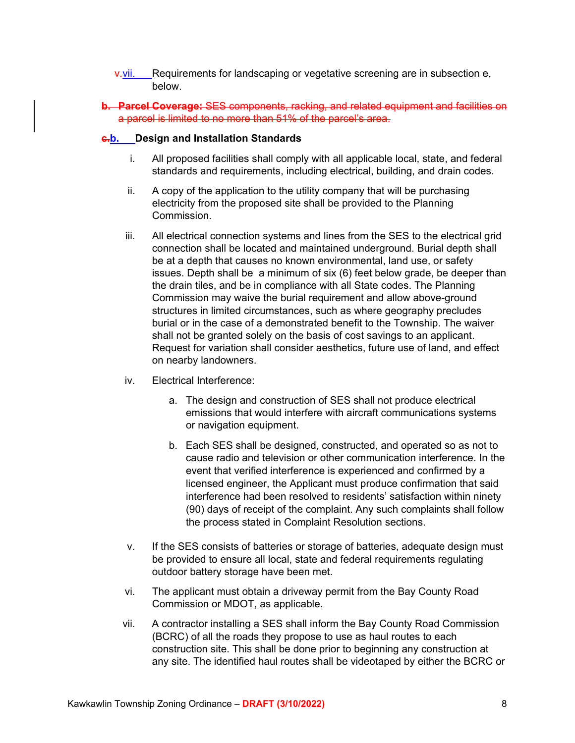- $\overline{v}$ .vii. Requirements for landscaping or vegetative screening are in subsection e, below.
- **b. Parcel Coverage:** SES components, racking, and related equipment and facilities on a parcel is limited to no more than 51% of the parcel's area.

#### **c.b. Design and Installation Standards**

- i. All proposed facilities shall comply with all applicable local, state, and federal standards and requirements, including electrical, building, and drain codes.
- ii. A copy of the application to the utility company that will be purchasing electricity from the proposed site shall be provided to the Planning Commission.
- iii. All electrical connection systems and lines from the SES to the electrical grid connection shall be located and maintained underground. Burial depth shall be at a depth that causes no known environmental, land use, or safety issues. Depth shall be a minimum of six (6) feet below grade, be deeper than the drain tiles, and be in compliance with all State codes. The Planning Commission may waive the burial requirement and allow above-ground structures in limited circumstances, such as where geography precludes burial or in the case of a demonstrated benefit to the Township. The waiver shall not be granted solely on the basis of cost savings to an applicant. Request for variation shall consider aesthetics, future use of land, and effect on nearby landowners.
- iv. Electrical Interference:
	- a. The design and construction of SES shall not produce electrical emissions that would interfere with aircraft communications systems or navigation equipment.
	- b. Each SES shall be designed, constructed, and operated so as not to cause radio and television or other communication interference. In the event that verified interference is experienced and confirmed by a licensed engineer, the Applicant must produce confirmation that said interference had been resolved to residents' satisfaction within ninety (90) days of receipt of the complaint. Any such complaints shall follow the process stated in Complaint Resolution sections.
- v. If the SES consists of batteries or storage of batteries, adequate design must be provided to ensure all local, state and federal requirements regulating outdoor battery storage have been met.
- vi. The applicant must obtain a driveway permit from the Bay County Road Commission or MDOT, as applicable.
- vii. A contractor installing a SES shall inform the Bay County Road Commission (BCRC) of all the roads they propose to use as haul routes to each construction site. This shall be done prior to beginning any construction at any site. The identified haul routes shall be videotaped by either the BCRC or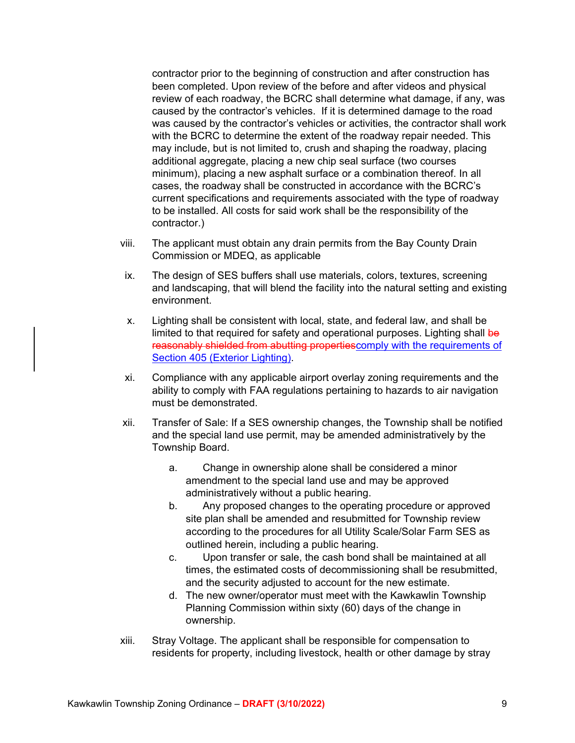contractor prior to the beginning of construction and after construction has been completed. Upon review of the before and after videos and physical review of each roadway, the BCRC shall determine what damage, if any, was caused by the contractor's vehicles. If it is determined damage to the road was caused by the contractor's vehicles or activities, the contractor shall work with the BCRC to determine the extent of the roadway repair needed. This may include, but is not limited to, crush and shaping the roadway, placing additional aggregate, placing a new chip seal surface (two courses minimum), placing a new asphalt surface or a combination thereof. In all cases, the roadway shall be constructed in accordance with the BCRC's current specifications and requirements associated with the type of roadway to be installed. All costs for said work shall be the responsibility of the contractor.)

- viii. The applicant must obtain any drain permits from the Bay County Drain Commission or MDEQ, as applicable
- ix. The design of SES buffers shall use materials, colors, textures, screening and landscaping, that will blend the facility into the natural setting and existing environment.
- x. Lighting shall be consistent with local, state, and federal law, and shall be limited to that required for safety and operational purposes. Lighting shall be reasonably shielded from abutting propertiescomply with the requirements of Section 405 (Exterior Lighting).
- xi. Compliance with any applicable airport overlay zoning requirements and the ability to comply with FAA regulations pertaining to hazards to air navigation must be demonstrated.
- xii. Transfer of Sale: If a SES ownership changes, the Township shall be notified and the special land use permit, may be amended administratively by the Township Board.
	- a. Change in ownership alone shall be considered a minor amendment to the special land use and may be approved administratively without a public hearing.
	- b. Any proposed changes to the operating procedure or approved site plan shall be amended and resubmitted for Township review according to the procedures for all Utility Scale/Solar Farm SES as outlined herein, including a public hearing.
	- c. Upon transfer or sale, the cash bond shall be maintained at all times, the estimated costs of decommissioning shall be resubmitted, and the security adjusted to account for the new estimate.
	- d. The new owner/operator must meet with the Kawkawlin Township Planning Commission within sixty (60) days of the change in ownership.
- xiii. Stray Voltage. The applicant shall be responsible for compensation to residents for property, including livestock, health or other damage by stray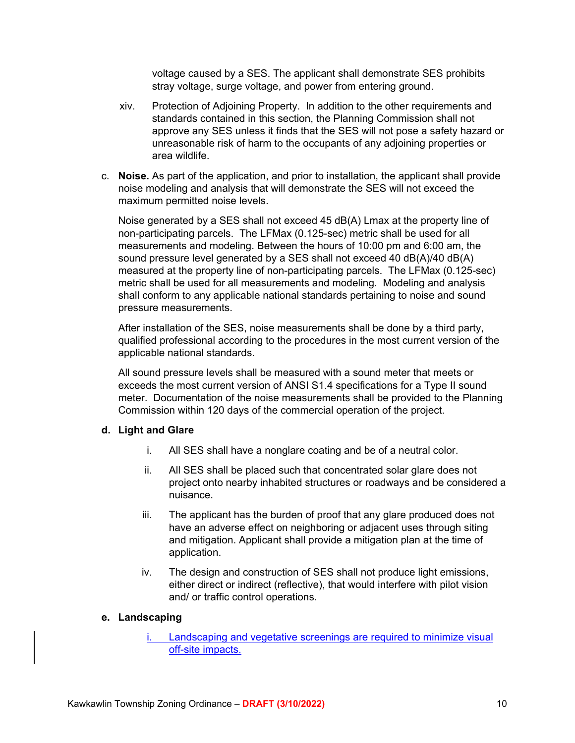voltage caused by a SES. The applicant shall demonstrate SES prohibits stray voltage, surge voltage, and power from entering ground.

- xiv. Protection of Adjoining Property. In addition to the other requirements and standards contained in this section, the Planning Commission shall not approve any SES unless it finds that the SES will not pose a safety hazard or unreasonable risk of harm to the occupants of any adjoining properties or area wildlife.
- c. **Noise.** As part of the application, and prior to installation, the applicant shall provide noise modeling and analysis that will demonstrate the SES will not exceed the maximum permitted noise levels.

Noise generated by a SES shall not exceed 45 dB(A) Lmax at the property line of non-participating parcels. The LFMax (0.125-sec) metric shall be used for all measurements and modeling. Between the hours of 10:00 pm and 6:00 am, the sound pressure level generated by a SES shall not exceed 40 dB(A)/40 dB(A) measured at the property line of non-participating parcels. The LFMax (0.125-sec) metric shall be used for all measurements and modeling. Modeling and analysis shall conform to any applicable national standards pertaining to noise and sound pressure measurements.

After installation of the SES, noise measurements shall be done by a third party, qualified professional according to the procedures in the most current version of the applicable national standards.

All sound pressure levels shall be measured with a sound meter that meets or exceeds the most current version of ANSI S1.4 specifications for a Type II sound meter. Documentation of the noise measurements shall be provided to the Planning Commission within 120 days of the commercial operation of the project.

#### **d. Light and Glare**

- i. All SES shall have a nonglare coating and be of a neutral color.
- ii. All SES shall be placed such that concentrated solar glare does not project onto nearby inhabited structures or roadways and be considered a nuisance.
- iii. The applicant has the burden of proof that any glare produced does not have an adverse effect on neighboring or adjacent uses through siting and mitigation. Applicant shall provide a mitigation plan at the time of application.
- iv. The design and construction of SES shall not produce light emissions, either direct or indirect (reflective), that would interfere with pilot vision and/ or traffic control operations.

#### **e. Landscaping**

Landscaping and vegetative screenings are required to minimize visual off-site impacts.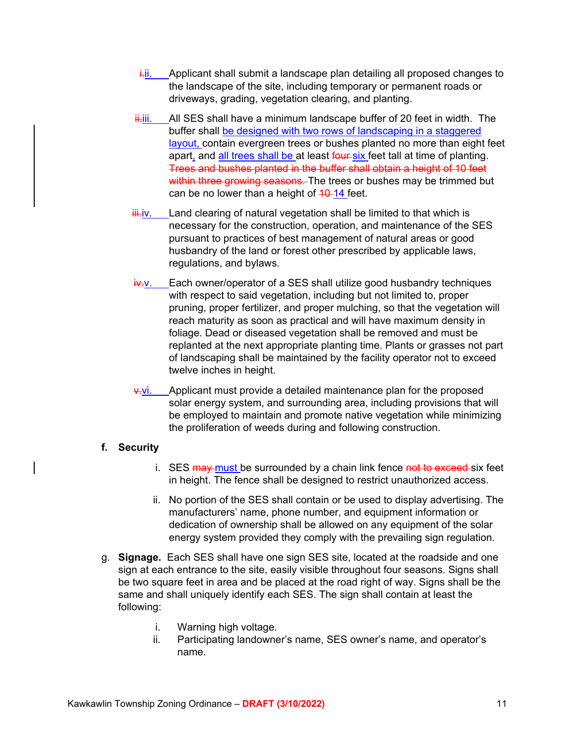- $\frac{1}{2}$ ii. Applicant shall submit a landscape plan detailing all proposed changes to the landscape of the site, including temporary or permanent roads or driveways, grading, vegetation clearing, and planting.
- $\frac{1}{11}$ iii. All SES shall have a minimum landscape buffer of 20 feet in width. The buffer shall be designed with two rows of landscaping in a staggered layout, contain evergreen trees or bushes planted no more than eight feet apart, and all trees shall be at least four six feet tall at time of planting. Trees and bushes planted in the buffer shall obtain a height of 10 feet within three growing seasons. The trees or bushes may be trimmed but can be no lower than a height of 40-14 feet.
- $\frac{1}{2}$  Land clearing of natural vegetation shall be limited to that which is necessary for the construction, operation, and maintenance of the SES pursuant to practices of best management of natural areas or good husbandry of the land or forest other prescribed by applicable laws, regulations, and bylaws.
- $iv-y$ . Each owner/operator of a SES shall utilize good husbandry techniques with respect to said vegetation, including but not limited to, proper pruning, proper fertilizer, and proper mulching, so that the vegetation will reach maturity as soon as practical and will have maximum density in foliage. Dead or diseased vegetation shall be removed and must be replanted at the next appropriate planting time. Plants or grasses not part of landscaping shall be maintained by the facility operator not to exceed twelve inches in height.
- $\frac{v}{v}$ . Applicant must provide a detailed maintenance plan for the proposed solar energy system, and surrounding area, including provisions that will be employed to maintain and promote native vegetation while minimizing the proliferation of weeds during and following construction.

## **f. Security**

- i. SES may must be surrounded by a chain link fence not to exceed six feet in height. The fence shall be designed to restrict unauthorized access.
- ii. No portion of the SES shall contain or be used to display advertising. The manufacturers' name, phone number, and equipment information or dedication of ownership shall be allowed on any equipment of the solar energy system provided they comply with the prevailing sign regulation.
- g. **Signage.** Each SES shall have one sign SES site, located at the roadside and one sign at each entrance to the site, easily visible throughout four seasons. Signs shall be two square feet in area and be placed at the road right of way. Signs shall be the same and shall uniquely identify each SES. The sign shall contain at least the following:
	- i. Warning high voltage.
	- ii. Participating landowner's name, SES owner's name, and operator's name.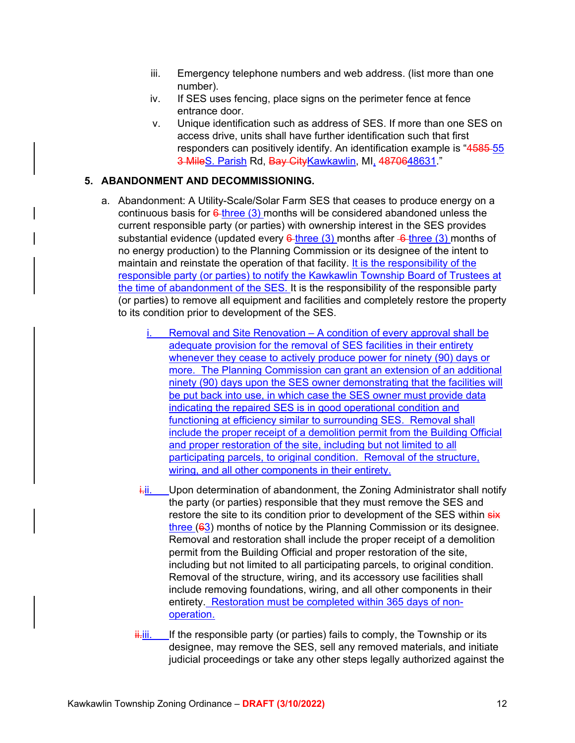- iii. Emergency telephone numbers and web address. (list more than one number).
- iv. If SES uses fencing, place signs on the perimeter fence at fence entrance door.
- v. Unique identification such as address of SES. If more than one SES on access drive, units shall have further identification such that first responders can positively identify. An identification example is "4585-55" 3 MileS. Parish Rd, Bay CityKawkawlin, MI, 4870648631."

## **5. ABANDONMENT AND DECOMMISSIONING.**

- a. Abandonment: A Utility-Scale/Solar Farm SES that ceases to produce energy on a continuous basis for  $6$ -three (3) months will be considered abandoned unless the current responsible party (or parties) with ownership interest in the SES provides substantial evidence (updated every  $6$ -three (3) months after  $-6$ -three (3) months of no energy production) to the Planning Commission or its designee of the intent to maintain and reinstate the operation of that facility. It is the responsibility of the responsible party (or parties) to notify the Kawkawlin Township Board of Trustees at the time of abandonment of the SES. It is the responsibility of the responsible party (or parties) to remove all equipment and facilities and completely restore the property to its condition prior to development of the SES.
	- Removal and Site Renovation A condition of every approval shall be adequate provision for the removal of SES facilities in their entirety whenever they cease to actively produce power for ninety (90) days or more. The Planning Commission can grant an extension of an additional ninety (90) days upon the SES owner demonstrating that the facilities will be put back into use, in which case the SES owner must provide data indicating the repaired SES is in good operational condition and functioning at efficiency similar to surrounding SES. Removal shall include the proper receipt of a demolition permit from the Building Official and proper restoration of the site, including but not limited to all participating parcels, to original condition. Removal of the structure, wiring, and all other components in their entirety.
	- $\frac{1}{1}$ . Upon determination of abandonment, the Zoning Administrator shall notify the party (or parties) responsible that they must remove the SES and restore the site to its condition prior to development of the SES within  $s$ ix three (63) months of notice by the Planning Commission or its designee. Removal and restoration shall include the proper receipt of a demolition permit from the Building Official and proper restoration of the site, including but not limited to all participating parcels, to original condition. Removal of the structure, wiring, and its accessory use facilities shall include removing foundations, wiring, and all other components in their entirety. Restoration must be completed within 365 days of nonoperation.
	- $\frac{ii}{ii}$  If the responsible party (or parties) fails to comply, the Township or its designee, may remove the SES, sell any removed materials, and initiate judicial proceedings or take any other steps legally authorized against the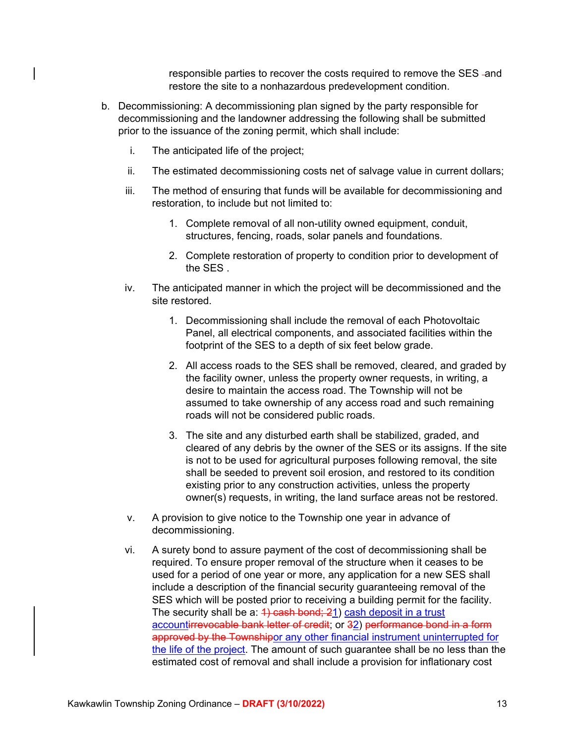responsible parties to recover the costs required to remove the SES-and restore the site to a nonhazardous predevelopment condition.

- b. Decommissioning: A decommissioning plan signed by the party responsible for decommissioning and the landowner addressing the following shall be submitted prior to the issuance of the zoning permit, which shall include:
	- i. The anticipated life of the project;
	- ii. The estimated decommissioning costs net of salvage value in current dollars;
	- iii. The method of ensuring that funds will be available for decommissioning and restoration, to include but not limited to:
		- 1. Complete removal of all non-utility owned equipment, conduit, structures, fencing, roads, solar panels and foundations.
		- 2. Complete restoration of property to condition prior to development of the SES .
	- iv. The anticipated manner in which the project will be decommissioned and the site restored.
		- 1. Decommissioning shall include the removal of each Photovoltaic Panel, all electrical components, and associated facilities within the footprint of the SES to a depth of six feet below grade.
		- 2. All access roads to the SES shall be removed, cleared, and graded by the facility owner, unless the property owner requests, in writing, a desire to maintain the access road. The Township will not be assumed to take ownership of any access road and such remaining roads will not be considered public roads.
		- 3. The site and any disturbed earth shall be stabilized, graded, and cleared of any debris by the owner of the SES or its assigns. If the site is not to be used for agricultural purposes following removal, the site shall be seeded to prevent soil erosion, and restored to its condition existing prior to any construction activities, unless the property owner(s) requests, in writing, the land surface areas not be restored.
	- v. A provision to give notice to the Township one year in advance of decommissioning.
	- vi. A surety bond to assure payment of the cost of decommissioning shall be required. To ensure proper removal of the structure when it ceases to be used for a period of one year or more, any application for a new SES shall include a description of the financial security guaranteeing removal of the SES which will be posted prior to receiving a building permit for the facility. The security shall be a:  $4)$  cash bond;  $21$ ) cash deposit in a trust accountirrevocable bank letter of credit; or 32) performance bond in a form approved by the Townshipor any other financial instrument uninterrupted for the life of the project. The amount of such guarantee shall be no less than the estimated cost of removal and shall include a provision for inflationary cost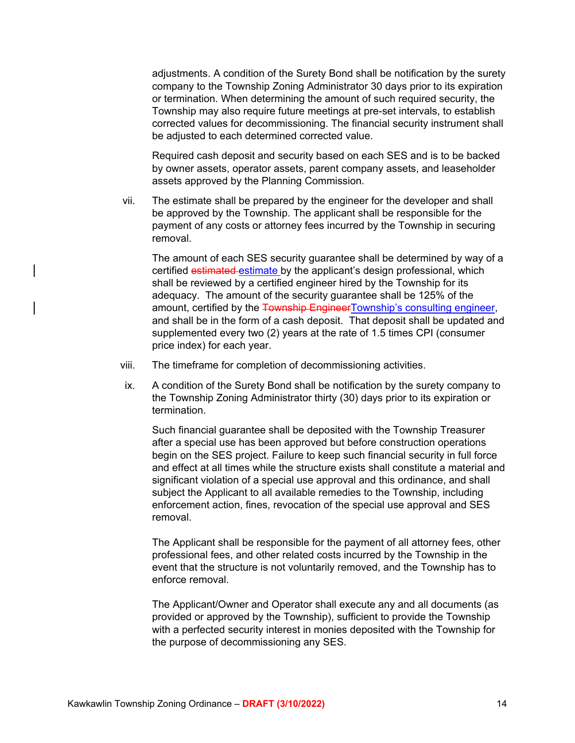adjustments. A condition of the Surety Bond shall be notification by the surety company to the Township Zoning Administrator 30 days prior to its expiration or termination. When determining the amount of such required security, the Township may also require future meetings at pre-set intervals, to establish corrected values for decommissioning. The financial security instrument shall be adjusted to each determined corrected value.

Required cash deposit and security based on each SES and is to be backed by owner assets, operator assets, parent company assets, and leaseholder assets approved by the Planning Commission.

vii. The estimate shall be prepared by the engineer for the developer and shall be approved by the Township. The applicant shall be responsible for the payment of any costs or attorney fees incurred by the Township in securing removal.

The amount of each SES security guarantee shall be determined by way of a certified estimated estimate by the applicant's design professional, which shall be reviewed by a certified engineer hired by the Township for its adequacy. The amount of the security guarantee shall be 125% of the amount, certified by the Township EngineerTownship's consulting engineer, and shall be in the form of a cash deposit. That deposit shall be updated and supplemented every two (2) years at the rate of 1.5 times CPI (consumer price index) for each year.

- viii. The timeframe for completion of decommissioning activities.
- ix. A condition of the Surety Bond shall be notification by the surety company to the Township Zoning Administrator thirty (30) days prior to its expiration or termination.

Such financial guarantee shall be deposited with the Township Treasurer after a special use has been approved but before construction operations begin on the SES project. Failure to keep such financial security in full force and effect at all times while the structure exists shall constitute a material and significant violation of a special use approval and this ordinance, and shall subject the Applicant to all available remedies to the Township, including enforcement action, fines, revocation of the special use approval and SES removal.

The Applicant shall be responsible for the payment of all attorney fees, other professional fees, and other related costs incurred by the Township in the event that the structure is not voluntarily removed, and the Township has to enforce removal.

The Applicant/Owner and Operator shall execute any and all documents (as provided or approved by the Township), sufficient to provide the Township with a perfected security interest in monies deposited with the Township for the purpose of decommissioning any SES.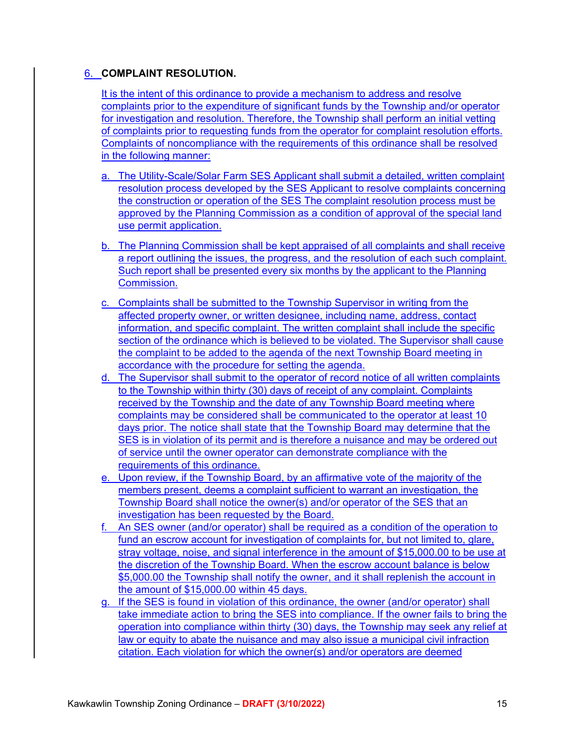## 6. **COMPLAINT RESOLUTION.**

It is the intent of this ordinance to provide a mechanism to address and resolve complaints prior to the expenditure of significant funds by the Township and/or operator for investigation and resolution. Therefore, the Township shall perform an initial vetting of complaints prior to requesting funds from the operator for complaint resolution efforts. Complaints of noncompliance with the requirements of this ordinance shall be resolved in the following manner:

- a. The Utility-Scale/Solar Farm SES Applicant shall submit a detailed, written complaint resolution process developed by the SES Applicant to resolve complaints concerning the construction or operation of the SES The complaint resolution process must be approved by the Planning Commission as a condition of approval of the special land use permit application.
- b. The Planning Commission shall be kept appraised of all complaints and shall receive a report outlining the issues, the progress, and the resolution of each such complaint. Such report shall be presented every six months by the applicant to the Planning Commission.
- c. Complaints shall be submitted to the Township Supervisor in writing from the affected property owner, or written designee, including name, address, contact information, and specific complaint. The written complaint shall include the specific section of the ordinance which is believed to be violated. The Supervisor shall cause the complaint to be added to the agenda of the next Township Board meeting in accordance with the procedure for setting the agenda.
- d. The Supervisor shall submit to the operator of record notice of all written complaints to the Township within thirty (30) days of receipt of any complaint. Complaints received by the Township and the date of any Township Board meeting where complaints may be considered shall be communicated to the operator at least 10 days prior. The notice shall state that the Township Board may determine that the SES is in violation of its permit and is therefore a nuisance and may be ordered out of service until the owner operator can demonstrate compliance with the requirements of this ordinance.
- e. Upon review, if the Township Board, by an affirmative vote of the majority of the members present, deems a complaint sufficient to warrant an investigation, the Township Board shall notice the owner(s) and/or operator of the SES that an investigation has been requested by the Board.
- f. An SES owner (and/or operator) shall be required as a condition of the operation to fund an escrow account for investigation of complaints for, but not limited to, glare, stray voltage, noise, and signal interference in the amount of \$15,000,00 to be use at the discretion of the Township Board. When the escrow account balance is below \$5,000.00 the Township shall notify the owner, and it shall replenish the account in the amount of \$15,000.00 within 45 days.
- g. If the SES is found in violation of this ordinance, the owner (and/or operator) shall take immediate action to bring the SES into compliance. If the owner fails to bring the operation into compliance within thirty (30) days, the Township may seek any relief at law or equity to abate the nuisance and may also issue a municipal civil infraction citation. Each violation for which the owner(s) and/or operators are deemed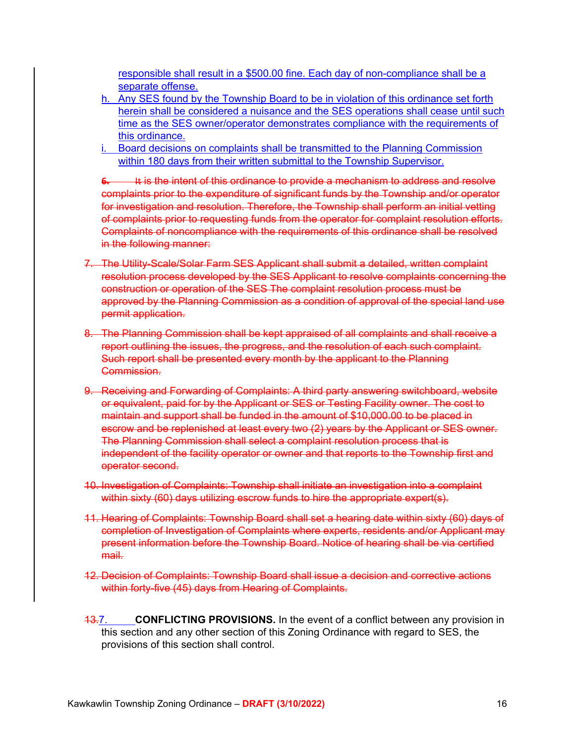responsible shall result in a \$500.00 fine. Each day of non-compliance shall be a separate offense.

- h. Any SES found by the Township Board to be in violation of this ordinance set forth herein shall be considered a nuisance and the SES operations shall cease until such time as the SES owner/operator demonstrates compliance with the requirements of this ordinance.
- i. Board decisions on complaints shall be transmitted to the Planning Commission within 180 days from their written submittal to the Township Supervisor.

**6.** It is the intent of this ordinance to provide a mechanism to address and resolve complaints prior to the expenditure of significant funds by the Township and/or operator for investigation and resolution. Therefore, the Township shall perform an initial vetting of complaints prior to requesting funds from the operator for complaint resolution efforts. Complaints of noncompliance with the requirements of this ordinance shall be resolved in the following manner:

- 7. The Utility-Scale/Solar Farm SES Applicant shall submit a detailed, written complaint resolution process developed by the SES Applicant to resolve complaints concerning the construction or operation of the SES The complaint resolution process must be approved by the Planning Commission as a condition of approval of the special land use permit application.
- 8. The Planning Commission shall be kept appraised of all complaints and shall receive a report outlining the issues, the progress, and the resolution of each such complaint. Such report shall be presented every month by the applicant to the Planning Commission.
- 9. Receiving and Forwarding of Complaints: A third party answering switchboard, website or equivalent, paid for by the Applicant or SES or Testing Facility owner. The cost to maintain and support shall be funded in the amount of \$10,000.00 to be placed in escrow and be replenished at least every two (2) years by the Applicant or SES owner. The Planning Commission shall select a complaint resolution process that is independent of the facility operator or owner and that reports to the Township first and operator second.
- 10. Investigation of Complaints: Township shall initiate an investigation into a complaint within sixty (60) days utilizing escrow funds to hire the appropriate expert(s).
- 11. Hearing of Complaints: Township Board shall set a hearing date within sixty (60) days of completion of Investigation of Complaints where experts, residents and/or Applicant may present information before the Township Board. Notice of hearing shall be via certified mail.
- 12. Decision of Complaints: Township Board shall issue a decision and corrective actions within forty-five (45) days from Hearing of Complaints.
- 13.7. **CONFLICTING PROVISIONS.** In the event of a conflict between any provision in this section and any other section of this Zoning Ordinance with regard to SES, the provisions of this section shall control.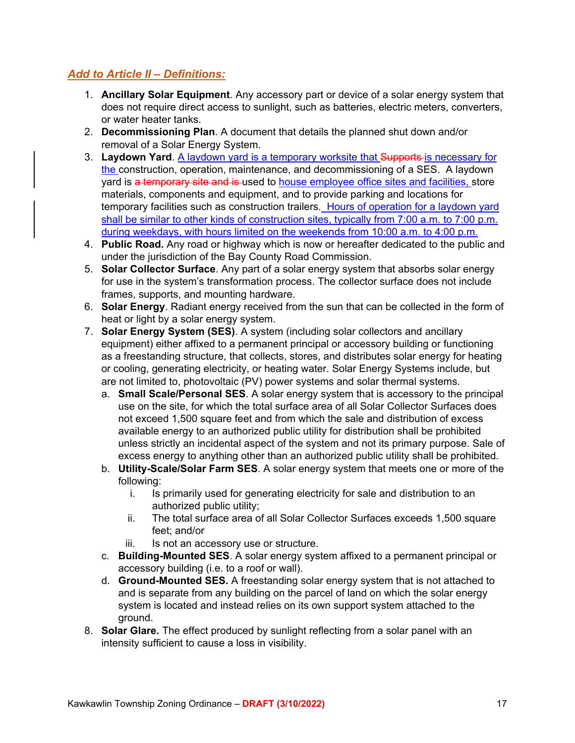# *Add to Article II – Definitions:*

- 1. **Ancillary Solar Equipment**. Any accessory part or device of a solar energy system that does not require direct access to sunlight, such as batteries, electric meters, converters, or water heater tanks.
- 2. **Decommissioning Plan**. A document that details the planned shut down and/or removal of a Solar Energy System.
- 3. **Laydown Yard**. A laydown yard is a temporary worksite that Supports is necessary for the construction, operation, maintenance, and decommissioning of a SES. A laydown yard is a temporary site and is used to house employee office sites and facilities, store materials, components and equipment, and to provide parking and locations for temporary facilities such as construction trailers. Hours of operation for a laydown yard shall be similar to other kinds of construction sites, typically from 7:00 a.m. to 7:00 p.m. during weekdays, with hours limited on the weekends from 10:00 a.m. to 4:00 p.m.
- 4. **Public Road.** Any road or highway which is now or hereafter dedicated to the public and under the jurisdiction of the Bay County Road Commission.
- 5. **Solar Collector Surface**. Any part of a solar energy system that absorbs solar energy for use in the system's transformation process. The collector surface does not include frames, supports, and mounting hardware.
- 6. **Solar Energy**. Radiant energy received from the sun that can be collected in the form of heat or light by a solar energy system.
- 7. **Solar Energy System (SES)**. A system (including solar collectors and ancillary equipment) either affixed to a permanent principal or accessory building or functioning as a freestanding structure, that collects, stores, and distributes solar energy for heating or cooling, generating electricity, or heating water. Solar Energy Systems include, but are not limited to, photovoltaic (PV) power systems and solar thermal systems.
	- a. **Small Scale/Personal SES**. A solar energy system that is accessory to the principal use on the site, for which the total surface area of all Solar Collector Surfaces does not exceed 1,500 square feet and from which the sale and distribution of excess available energy to an authorized public utility for distribution shall be prohibited unless strictly an incidental aspect of the system and not its primary purpose. Sale of excess energy to anything other than an authorized public utility shall be prohibited.
	- b. **Utility-Scale/Solar Farm SES**. A solar energy system that meets one or more of the following:
		- i. Is primarily used for generating electricity for sale and distribution to an authorized public utility;
		- ii. The total surface area of all Solar Collector Surfaces exceeds 1,500 square feet; and/or
		- iii. Is not an accessory use or structure.
	- c. **Building-Mounted SES**. A solar energy system affixed to a permanent principal or accessory building (i.e. to a roof or wall).
	- d. **Ground-Mounted SES.** A freestanding solar energy system that is not attached to and is separate from any building on the parcel of land on which the solar energy system is located and instead relies on its own support system attached to the ground.
- 8. **Solar Glare.** The effect produced by sunlight reflecting from a solar panel with an intensity sufficient to cause a loss in visibility.